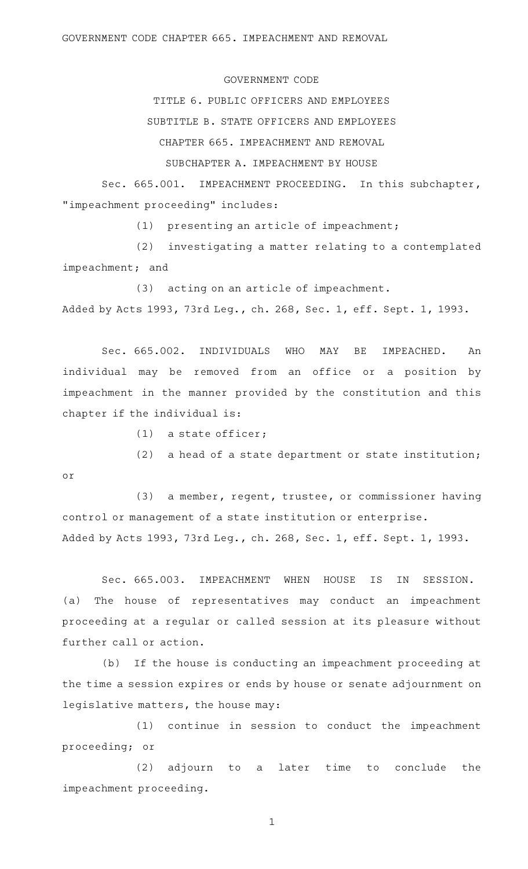GOVERNMENT CODE CHAPTER 665. IMPEACHMENT AND REMOVAL

## GOVERNMENT CODE

TITLE 6. PUBLIC OFFICERS AND EMPLOYEES

SUBTITLE B. STATE OFFICERS AND EMPLOYEES

CHAPTER 665. IMPEACHMENT AND REMOVAL

SUBCHAPTER A. IMPEACHMENT BY HOUSE

Sec. 665.001. IMPEACHMENT PROCEEDING. In this subchapter, "impeachment proceeding" includes:

 $(1)$  presenting an article of impeachment;

(2) investigating a matter relating to a contemplated impeachment; and

(3) acting on an article of impeachment. Added by Acts 1993, 73rd Leg., ch. 268, Sec. 1, eff. Sept. 1, 1993.

Sec. 665.002. INDIVIDUALS WHO MAY BE IMPEACHED. An individual may be removed from an office or a position by impeachment in the manner provided by the constitution and this chapter if the individual is:

 $(1)$  a state officer;

or

(2) a head of a state department or state institution;

(3) a member, regent, trustee, or commissioner having control or management of a state institution or enterprise. Added by Acts 1993, 73rd Leg., ch. 268, Sec. 1, eff. Sept. 1, 1993.

Sec. 665.003. IMPEACHMENT WHEN HOUSE IS IN SESSION. (a) The house of representatives may conduct an impeachment proceeding at a regular or called session at its pleasure without further call or action.

(b) If the house is conducting an impeachment proceeding at the time a session expires or ends by house or senate adjournment on legislative matters, the house may:

 $(1)$  continue in session to conduct the impeachment proceeding; or

 $(2)$  adjourn to a later time to conclude the impeachment proceeding.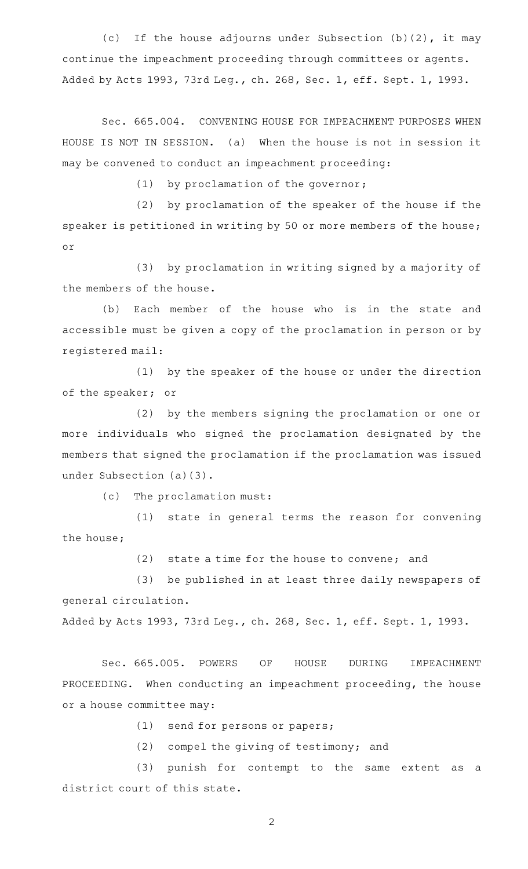(c) If the house adjourns under Subsection (b)(2), it may continue the impeachment proceeding through committees or agents. Added by Acts 1993, 73rd Leg., ch. 268, Sec. 1, eff. Sept. 1, 1993.

Sec. 665.004. CONVENING HOUSE FOR IMPEACHMENT PURPOSES WHEN HOUSE IS NOT IN SESSION. (a) When the house is not in session it may be convened to conduct an impeachment proceeding:

 $(1)$  by proclamation of the governor;

 $(2)$  by proclamation of the speaker of the house if the speaker is petitioned in writing by 50 or more members of the house; or

(3) by proclamation in writing signed by a majority of the members of the house.

(b) Each member of the house who is in the state and accessible must be given a copy of the proclamation in person or by registered mail:

(1) by the speaker of the house or under the direction of the speaker; or

(2) by the members signing the proclamation or one or more individuals who signed the proclamation designated by the members that signed the proclamation if the proclamation was issued under Subsection (a)(3).

(c) The proclamation must:

(1) state in general terms the reason for convening the house;

 $(2)$  state a time for the house to convene; and

(3) be published in at least three daily newspapers of general circulation.

Added by Acts 1993, 73rd Leg., ch. 268, Sec. 1, eff. Sept. 1, 1993.

Sec. 665.005. POWERS OF HOUSE DURING IMPEACHMENT PROCEEDING. When conducting an impeachment proceeding, the house or a house committee may:

 $(1)$  send for persons or papers;

 $(2)$  compel the giving of testimony; and

(3) punish for contempt to the same extent as a district court of this state.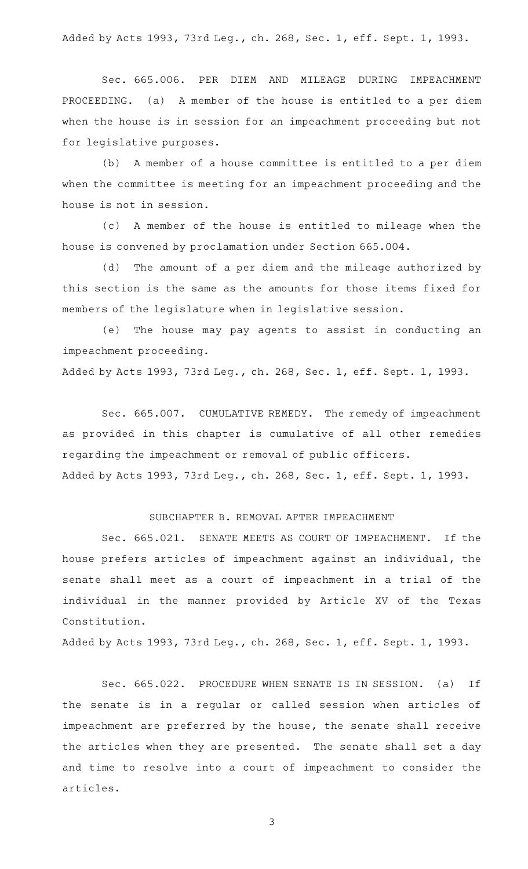Added by Acts 1993, 73rd Leg., ch. 268, Sec. 1, eff. Sept. 1, 1993.

Sec. 665.006. PER DIEM AND MILEAGE DURING IMPEACHMENT PROCEEDING. (a) A member of the house is entitled to a per diem when the house is in session for an impeachment proceeding but not for legislative purposes.

(b) A member of a house committee is entitled to a per diem when the committee is meeting for an impeachment proceeding and the house is not in session.

(c)AAA member of the house is entitled to mileage when the house is convened by proclamation under Section 665.004.

(d) The amount of a per diem and the mileage authorized by this section is the same as the amounts for those items fixed for members of the legislature when in legislative session.

(e) The house may pay agents to assist in conducting an impeachment proceeding.

Added by Acts 1993, 73rd Leg., ch. 268, Sec. 1, eff. Sept. 1, 1993.

Sec. 665.007. CUMULATIVE REMEDY. The remedy of impeachment as provided in this chapter is cumulative of all other remedies regarding the impeachment or removal of public officers. Added by Acts 1993, 73rd Leg., ch. 268, Sec. 1, eff. Sept. 1, 1993.

## SUBCHAPTER B. REMOVAL AFTER IMPEACHMENT

Sec. 665.021. SENATE MEETS AS COURT OF IMPEACHMENT. If the house prefers articles of impeachment against an individual, the senate shall meet as a court of impeachment in a trial of the individual in the manner provided by Article XV of the Texas Constitution.

Added by Acts 1993, 73rd Leg., ch. 268, Sec. 1, eff. Sept. 1, 1993.

Sec. 665.022. PROCEDURE WHEN SENATE IS IN SESSION. (a) If the senate is in a regular or called session when articles of impeachment are preferred by the house, the senate shall receive the articles when they are presented. The senate shall set a day and time to resolve into a court of impeachment to consider the articles.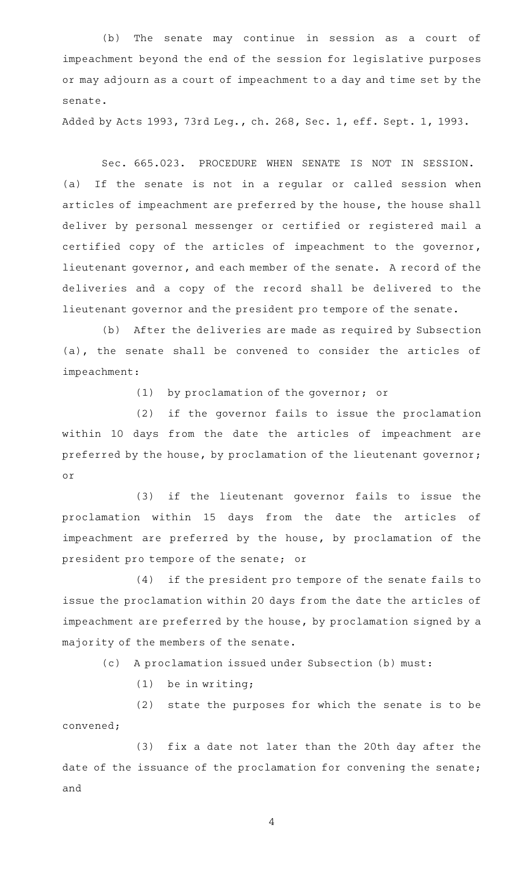(b) The senate may continue in session as a court of impeachment beyond the end of the session for legislative purposes or may adjourn as a court of impeachment to a day and time set by the senate.

Added by Acts 1993, 73rd Leg., ch. 268, Sec. 1, eff. Sept. 1, 1993.

Sec. 665.023. PROCEDURE WHEN SENATE IS NOT IN SESSION. (a) If the senate is not in a regular or called session when articles of impeachment are preferred by the house, the house shall deliver by personal messenger or certified or registered mail a certified copy of the articles of impeachment to the governor, lieutenant governor, and each member of the senate. A record of the deliveries and a copy of the record shall be delivered to the lieutenant governor and the president pro tempore of the senate.

(b) After the deliveries are made as required by Subsection (a), the senate shall be convened to consider the articles of impeachment:

 $(1)$  by proclamation of the governor; or

(2) if the governor fails to issue the proclamation within 10 days from the date the articles of impeachment are preferred by the house, by proclamation of the lieutenant governor; or

(3) if the lieutenant governor fails to issue the proclamation within 15 days from the date the articles of impeachment are preferred by the house, by proclamation of the president pro tempore of the senate; or

(4) if the president pro tempore of the senate fails to issue the proclamation within 20 days from the date the articles of impeachment are preferred by the house, by proclamation signed by a majority of the members of the senate.

(c) A proclamation issued under Subsection (b) must:

 $(1)$  be in writing;

(2) state the purposes for which the senate is to be convened;

(3) fix a date not later than the 20th day after the date of the issuance of the proclamation for convening the senate; and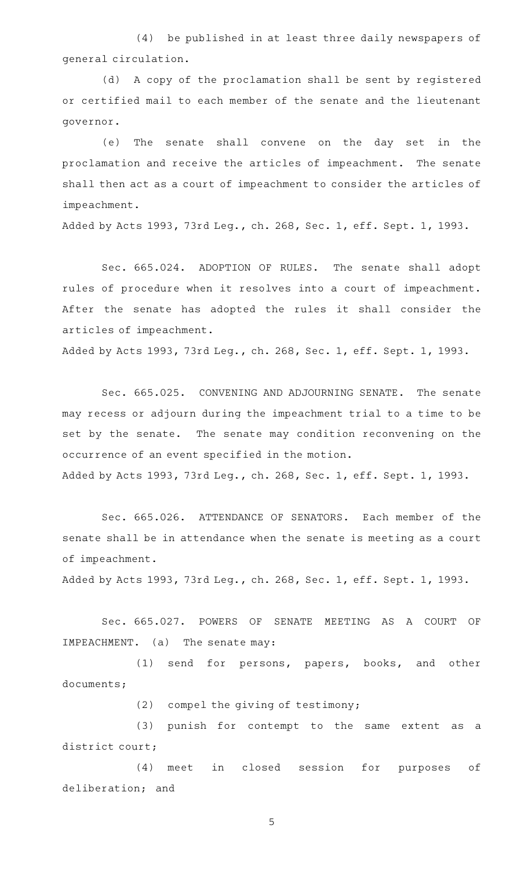(4) be published in at least three daily newspapers of general circulation.

(d) A copy of the proclamation shall be sent by registered or certified mail to each member of the senate and the lieutenant governor.

(e) The senate shall convene on the day set in the proclamation and receive the articles of impeachment. The senate shall then act as a court of impeachment to consider the articles of impeachment.

Added by Acts 1993, 73rd Leg., ch. 268, Sec. 1, eff. Sept. 1, 1993.

Sec. 665.024. ADOPTION OF RULES. The senate shall adopt rules of procedure when it resolves into a court of impeachment. After the senate has adopted the rules it shall consider the articles of impeachment.

Added by Acts 1993, 73rd Leg., ch. 268, Sec. 1, eff. Sept. 1, 1993.

Sec. 665.025. CONVENING AND ADJOURNING SENATE. The senate may recess or adjourn during the impeachment trial to a time to be set by the senate. The senate may condition reconvening on the occurrence of an event specified in the motion. Added by Acts 1993, 73rd Leg., ch. 268, Sec. 1, eff. Sept. 1, 1993.

Sec. 665.026. ATTENDANCE OF SENATORS. Each member of the senate shall be in attendance when the senate is meeting as a court of impeachment.

Added by Acts 1993, 73rd Leg., ch. 268, Sec. 1, eff. Sept. 1, 1993.

Sec. 665.027. POWERS OF SENATE MEETING AS A COURT OF IMPEACHMENT. (a) The senate may:

(1) send for persons, papers, books, and other documents;

 $(2)$  compel the giving of testimony;

(3) punish for contempt to the same extent as a district court;

(4) meet in closed session for purposes of deliberation; and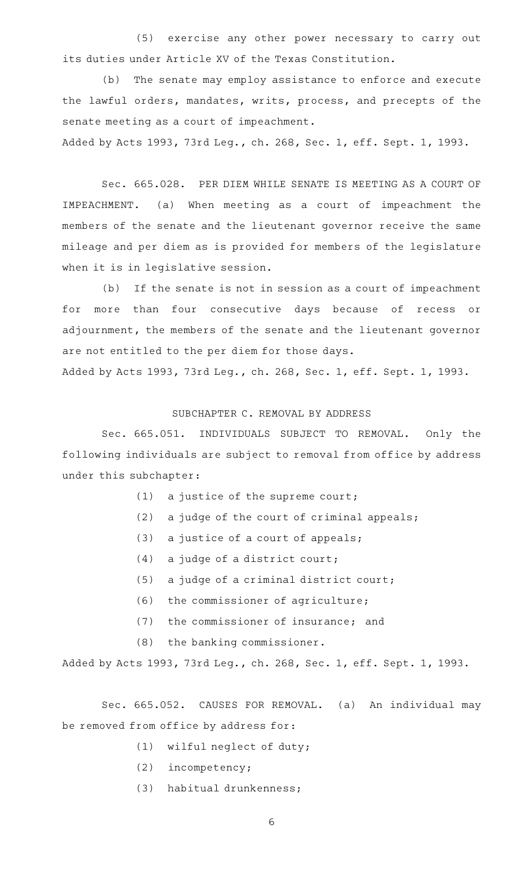(5) exercise any other power necessary to carry out its duties under Article XV of the Texas Constitution.

(b) The senate may employ assistance to enforce and execute the lawful orders, mandates, writs, process, and precepts of the senate meeting as a court of impeachment.

Added by Acts 1993, 73rd Leg., ch. 268, Sec. 1, eff. Sept. 1, 1993.

Sec. 665.028. PER DIEM WHILE SENATE IS MEETING AS A COURT OF IMPEACHMENT. (a) When meeting as a court of impeachment the members of the senate and the lieutenant governor receive the same mileage and per diem as is provided for members of the legislature when it is in legislative session.

(b) If the senate is not in session as a court of impeachment for more than four consecutive days because of recess or adjournment, the members of the senate and the lieutenant governor are not entitled to the per diem for those days.

Added by Acts 1993, 73rd Leg., ch. 268, Sec. 1, eff. Sept. 1, 1993.

## SUBCHAPTER C. REMOVAL BY ADDRESS

Sec. 665.051. INDIVIDUALS SUBJECT TO REMOVAL. Only the following individuals are subject to removal from office by address under this subchapter:

- (1) a justice of the supreme court;
- (2) a judge of the court of criminal appeals;
- (3) a justice of a court of appeals;
- $(4)$  a judge of a district court;
- (5) a judge of a criminal district court;
- (6) the commissioner of agriculture;
- (7) the commissioner of insurance; and
- $(8)$  the banking commissioner.

Added by Acts 1993, 73rd Leg., ch. 268, Sec. 1, eff. Sept. 1, 1993.

Sec. 665.052. CAUSES FOR REMOVAL. (a) An individual may be removed from office by address for:

- $(1)$  wilful neglect of duty;
- (2) incompetency;
- (3) habitual drunkenness;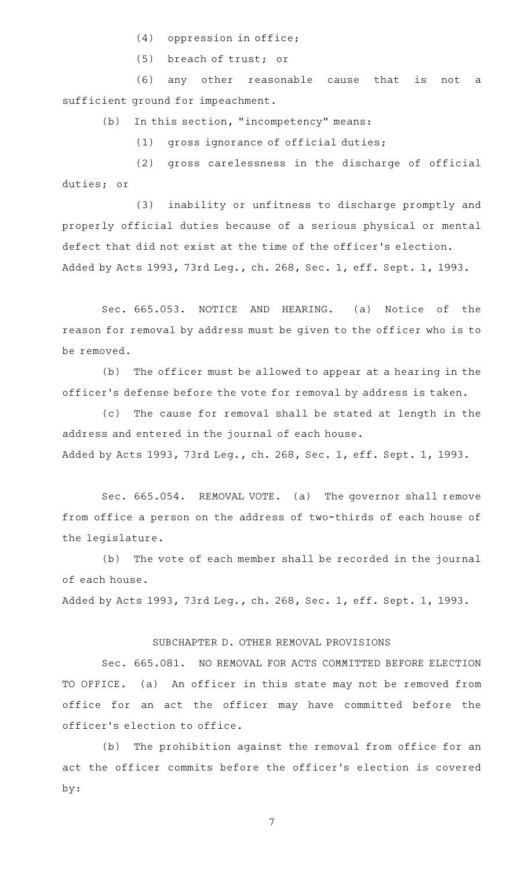$(4)$  oppression in office;

(5) breach of trust; or

(6) any other reasonable cause that is not a sufficient ground for impeachment.

 $(b)$  In this section, "incompetency" means:

 $(1)$  gross ignorance of official duties;

(2) gross carelessness in the discharge of official duties; or

(3) inability or unfitness to discharge promptly and properly official duties because of a serious physical or mental defect that did not exist at the time of the officer 's election. Added by Acts 1993, 73rd Leg., ch. 268, Sec. 1, eff. Sept. 1, 1993.

Sec. 665.053. NOTICE AND HEARING. (a) Notice of the reason for removal by address must be given to the officer who is to be removed.

(b) The officer must be allowed to appear at a hearing in the officer 's defense before the vote for removal by address is taken.

(c) The cause for removal shall be stated at length in the address and entered in the journal of each house. Added by Acts 1993, 73rd Leg., ch. 268, Sec. 1, eff. Sept. 1, 1993.

Sec. 665.054. REMOVAL VOTE. (a) The governor shall remove from office a person on the address of two-thirds of each house of the legislature.

(b) The vote of each member shall be recorded in the journal of each house.

Added by Acts 1993, 73rd Leg., ch. 268, Sec. 1, eff. Sept. 1, 1993.

## SUBCHAPTER D. OTHER REMOVAL PROVISIONS

Sec. 665.081. NO REMOVAL FOR ACTS COMMITTED BEFORE ELECTION TO OFFICE. (a) An officer in this state may not be removed from office for an act the officer may have committed before the officer 's election to office.

(b) The prohibition against the removal from office for an act the officer commits before the officer 's election is covered by: